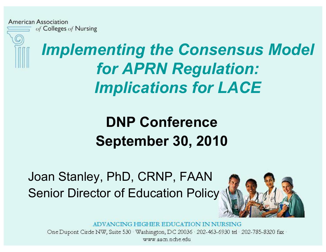

*Implementing the Consensus Model for APRN Regulation: Implications for LACE* 

#### **DNP Conference September 30, 2010**

Joan Stanley, PhD, CRNP, FAAN Senior Director of Education Policy



ADVANCING HIGHER EDUCATION IN NURSING

One Dupont Circle NW, Suite 530 Washington, DC 20036 202-463-6930 tel 202-785-8320 fax www aacn nche edu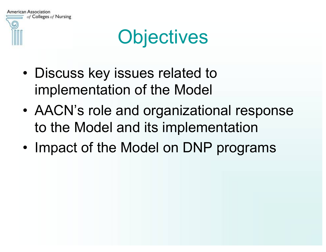## **Objectives**

- Discuss key issues related to implementation of the Model
- AACN's role and organizational response to the Model and its implementation
- Impact of the Model on DNP programs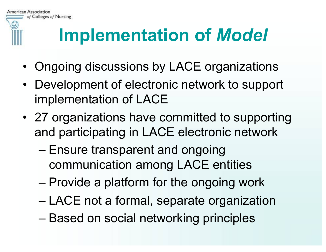

## **Implementation of** *Model*

- Ongoing discussions by LACE organizations
- Development of electronic network to support implementation of LACE
- 27 organizations have committed to supporting and participating in LACE electronic network
	- Ensure transparent and ongoing communication among LACE entities
	- Provide a platform for the ongoing work
	- LACE not a formal, separate organization
	- Based on social networking principles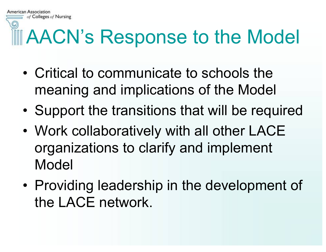# AACN's Response to the Model

- Critical to communicate to schools the meaning and implications of the Model
- Support the transitions that will be required
- Work collaboratively with all other LACE organizations to clarify and implement Model
- Providing leadership in the development of the LACE network.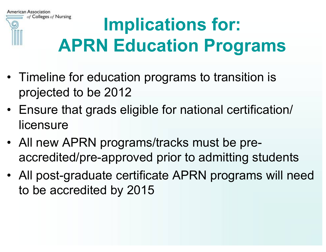

#### of Colleges of Nursing **Implications for: APRN Education Programs**

- Timeline for education programs to transition is projected to be 2012
- Ensure that grads eligible for national certification/ licensure
- All new APRN programs/tracks must be preaccredited/pre-approved prior to admitting students
- All post-graduate certificate APRN programs will need to be accredited by 2015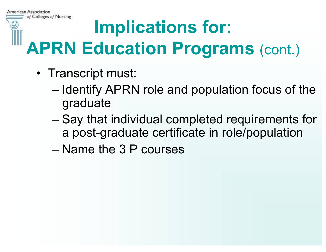# **Implications for:**

## **APRN Education Programs (cont.)**

- Transcript must:
	- Identify APRN role and population focus of the graduate
	- Say that individual completed requirements for a post-graduate certificate in role/population
	- Name the 3 P courses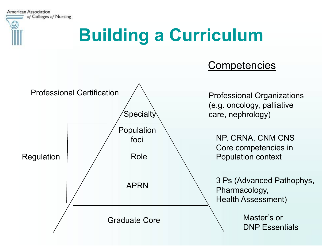

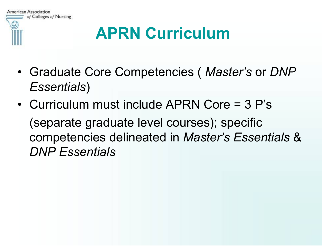

### **APRN Curriculum**

- Graduate Core Competencies ( *Master's* or *DNP Essentials*)
- Curriculum must include APRN Core = 3 P's (separate graduate level courses); specific competencies delineated in *Master's Essentials* & *DNP Essentials*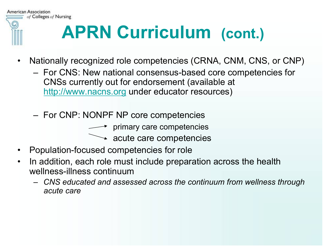

## **APRN Curriculum (cont.)**

- Nationally recognized role competencies (CRNA, CNM, CNS, or CNP)
	- For CNS: New national consensus-based core competencies for CNSs currently out for endorsement (available at http://www.nacns.org under educator resources)
	- For CNP: NONPF NP core competencies
		- $\longrightarrow$  primary care competencies
			- $\rightarrow$  acute care competencies
- Population-focused competencies for role
- In addition, each role must include preparation across the health wellness-illness continuum
	- *CNS educated and assessed across the continuum from wellness through acute care*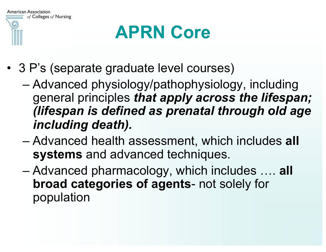

## **APRN Core**

- 3 P's (separate graduate level courses)
	- Advanced physiology/pathophysiology, including general principles *that apply across the lifespan; (lifespan is defined as prenatal through old age including death).*
	- Advanced health assessment, which includes **all systems** and advanced techniques.
	- Advanced pharmacology, which includes …. **all broad categories of agents**- not solely for population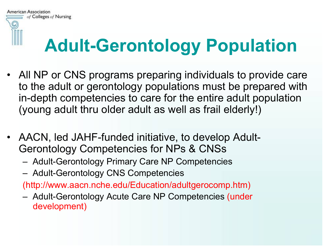

## **Adult-Gerontology Population**

- All NP or CNS programs preparing individuals to provide care to the adult or gerontology populations must be prepared with in-depth competencies to care for the entire adult population (young adult thru older adult as well as frail elderly!)
- AACN, led JAHF-funded initiative, to develop Adult-Gerontology Competencies for NPs & CNSs
	- Adult-Gerontology Primary Care NP Competencies
	- Adult-Gerontology CNS Competencies

(http://www.aacn.nche.edu/Education/adultgerocomp.htm)

– Adult-Gerontology Acute Care NP Competencies (under development)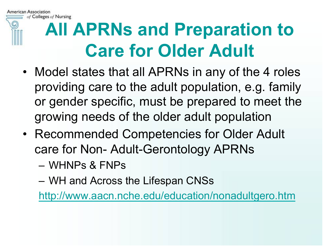

## **All APRNs and Preparation to Care for Older Adult**

- Model states that all APRNs in any of the 4 roles providing care to the adult population, e.g. family or gender specific, must be prepared to meet the growing needs of the older adult population
- Recommended Competencies for Older Adult care for Non- Adult-Gerontology APRNs
	- WHNPs & FNPs
	- WH and Across the Lifespan CNSs

http://www.aacn.nche.edu/education/nonadultgero.htm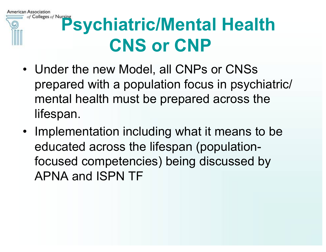of Colleges of Nursing **Psychiatric/Mental Health CNS or CNP** 

American Association

- Under the new Model, all CNPs or CNSs prepared with a population focus in psychiatric/ mental health must be prepared across the lifespan.
- Implementation including what it means to be educated across the lifespan (populationfocused competencies) being discussed by APNA and ISPN TF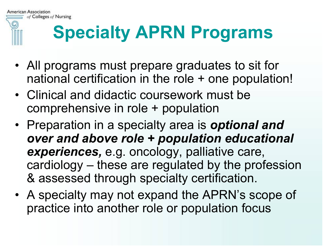

## **Specialty APRN Programs**

- All programs must prepare graduates to sit for national certification in the role + one population!
- Clinical and didactic coursework must be comprehensive in role + population
- Preparation in a specialty area is *optional and over and above role + population educational experiences,* e.g. oncology, palliative care, cardiology – these are regulated by the profession & assessed through specialty certification.
- A specialty may not expand the APRN's scope of practice into another role or population focus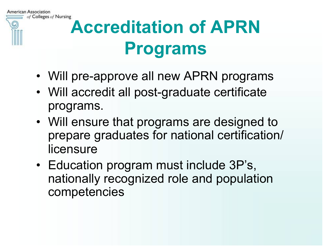

## **Accreditation of APRN Programs**

- Will pre-approve all new APRN programs
- Will accredit all post-graduate certificate programs.
- Will ensure that programs are designed to prepare graduates for national certification/ licensure
- Education program must include 3P's, nationally recognized role and population competencies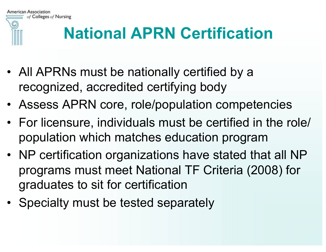

### **National APRN Certification**

- All APRNs must be nationally certified by a recognized, accredited certifying body
- Assess APRN core, role/population competencies
- For licensure, individuals must be certified in the role/ population which matches education program
- NP certification organizations have stated that all NP programs must meet National TF Criteria (2008) for graduates to sit for certification
- Specialty must be tested separately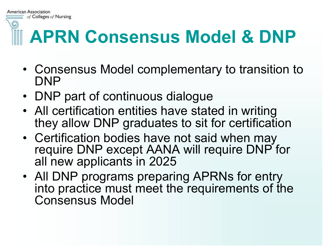# **APRN Consensus Model & DNP**

- Consensus Model complementary to transition to DNP
- DNP part of continuous dialogue

**American Association** 

of Colleges of Nursing

- All certification entities have stated in writing they allow DNP graduates to sit for certification
- Certification bodies have not said when may require DNP except AANA will require DNP for all new applicants in 2025
- All DNP programs preparing APRNs for entry into practice must meet the requirements of the Consensus Model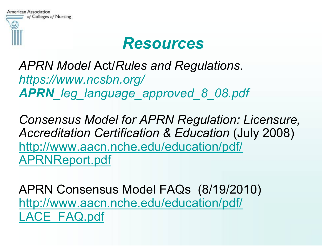

#### *Resources*

*APRN Model* Act/*Rules and Regulations*. *https://www.ncsbn.org/ APRN\_leg\_language\_approved\_8\_08.pdf*

*Consensus Model for APRN Regulation: Licensure, Accreditation Certification & Education* (July 2008) http://www.aacn.nche.edu/education/pdf/ APRNReport.pdf

APRN Consensus Model FAQs (8/19/2010) http://www.aacn.nche.edu/education/pdf/ LACE\_FAQ.pdf